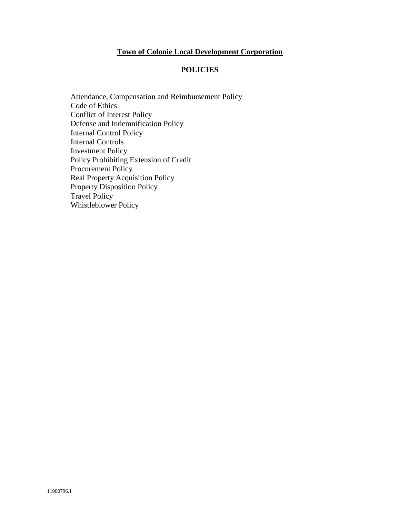## **Town of Colonie Local Development Corporation**

### **POLICIES**

[Attendance, Compensation and Reimbursement Policy](#page-1-0) [Code of Ethics](#page-2-0) [Conflict of Interest Policy](#page-5-0) [Defense and Indemnification Policy](#page-9-0) [Internal Control Policy](#page-10-0) [Internal Controls](#page-11-0) [Investment Policy](#page-12-0) [Policy Prohibiting Extension of Credit](#page-21-0) [Procurement Policy](#page-22-0) [Real Property Acquisition Policy](#page-27-0) [Property Disposition Policy](#page-28-0) [Travel Policy](#page-34-0) [Whistleblower Policy](#page-35-0)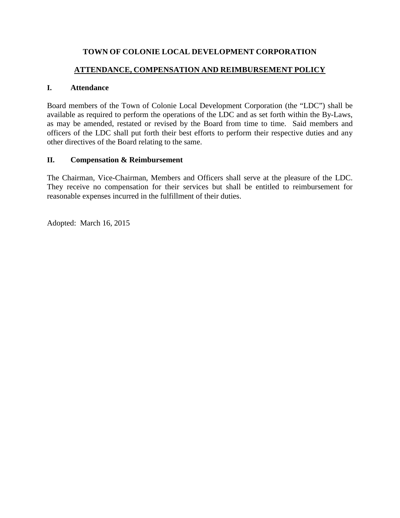# **ATTENDANCE, COMPENSATION AND REIMBURSEMENT POLICY**

## <span id="page-1-0"></span>**I. Attendance**

Board members of the Town of Colonie Local Development Corporation (the "LDC") shall be available as required to perform the operations of the LDC and as set forth within the By-Laws, as may be amended, restated or revised by the Board from time to time. Said members and officers of the LDC shall put forth their best efforts to perform their respective duties and any other directives of the Board relating to the same.

## **II. Compensation & Reimbursement**

The Chairman, Vice-Chairman, Members and Officers shall serve at the pleasure of the LDC. They receive no compensation for their services but shall be entitled to reimbursement for reasonable expenses incurred in the fulfillment of their duties.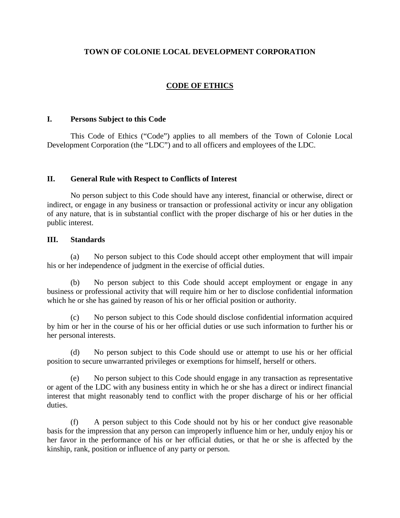## **CODE OF ETHICS**

#### <span id="page-2-0"></span>**I. Persons Subject to this Code**

This Code of Ethics ("Code") applies to all members of the Town of Colonie Local Development Corporation (the "LDC") and to all officers and employees of the LDC.

#### **II. General Rule with Respect to Conflicts of Interest**

No person subject to this Code should have any interest, financial or otherwise, direct or indirect, or engage in any business or transaction or professional activity or incur any obligation of any nature, that is in substantial conflict with the proper discharge of his or her duties in the public interest.

#### **III. Standards**

(a) No person subject to this Code should accept other employment that will impair his or her independence of judgment in the exercise of official duties.

(b) No person subject to this Code should accept employment or engage in any business or professional activity that will require him or her to disclose confidential information which he or she has gained by reason of his or her official position or authority.

(c) No person subject to this Code should disclose confidential information acquired by him or her in the course of his or her official duties or use such information to further his or her personal interests.

(d) No person subject to this Code should use or attempt to use his or her official position to secure unwarranted privileges or exemptions for himself, herself or others.

(e) No person subject to this Code should engage in any transaction as representative or agent of the LDC with any business entity in which he or she has a direct or indirect financial interest that might reasonably tend to conflict with the proper discharge of his or her official duties.

(f) A person subject to this Code should not by his or her conduct give reasonable basis for the impression that any person can improperly influence him or her, unduly enjoy his or her favor in the performance of his or her official duties, or that he or she is affected by the kinship, rank, position or influence of any party or person.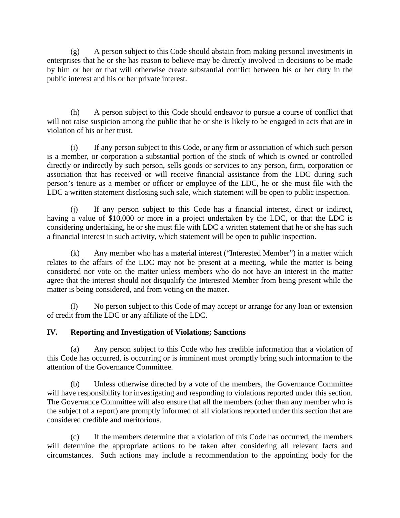(g) A person subject to this Code should abstain from making personal investments in enterprises that he or she has reason to believe may be directly involved in decisions to be made by him or her or that will otherwise create substantial conflict between his or her duty in the public interest and his or her private interest.

(h) A person subject to this Code should endeavor to pursue a course of conflict that will not raise suspicion among the public that he or she is likely to be engaged in acts that are in violation of his or her trust.

(i) If any person subject to this Code, or any firm or association of which such person is a member, or corporation a substantial portion of the stock of which is owned or controlled directly or indirectly by such person, sells goods or services to any person, firm, corporation or association that has received or will receive financial assistance from the LDC during such person's tenure as a member or officer or employee of the LDC, he or she must file with the LDC a written statement disclosing such sale, which statement will be open to public inspection.

(j) If any person subject to this Code has a financial interest, direct or indirect, having a value of \$10,000 or more in a project undertaken by the LDC, or that the LDC is considering undertaking, he or she must file with LDC a written statement that he or she has such a financial interest in such activity, which statement will be open to public inspection.

(k) Any member who has a material interest ("Interested Member") in a matter which relates to the affairs of the LDC may not be present at a meeting, while the matter is being considered nor vote on the matter unless members who do not have an interest in the matter agree that the interest should not disqualify the Interested Member from being present while the matter is being considered, and from voting on the matter.

(l) No person subject to this Code of may accept or arrange for any loan or extension of credit from the LDC or any affiliate of the LDC.

## **IV. Reporting and Investigation of Violations; Sanctions**

(a) Any person subject to this Code who has credible information that a violation of this Code has occurred, is occurring or is imminent must promptly bring such information to the attention of the Governance Committee.

(b) Unless otherwise directed by a vote of the members, the Governance Committee will have responsibility for investigating and responding to violations reported under this section. The Governance Committee will also ensure that all the members (other than any member who is the subject of a report) are promptly informed of all violations reported under this section that are considered credible and meritorious.

(c) If the members determine that a violation of this Code has occurred, the members will determine the appropriate actions to be taken after considering all relevant facts and circumstances. Such actions may include a recommendation to the appointing body for the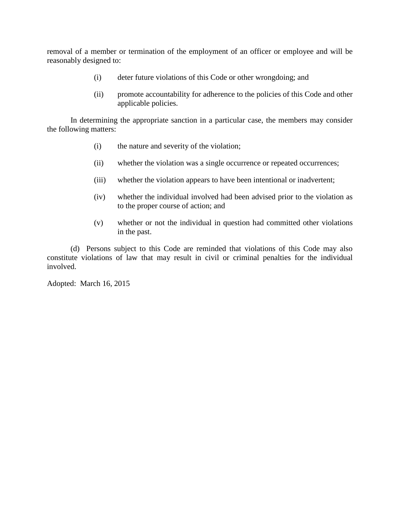removal of a member or termination of the employment of an officer or employee and will be reasonably designed to:

- (i) deter future violations of this Code or other wrongdoing; and
- (ii) promote accountability for adherence to the policies of this Code and other applicable policies.

In determining the appropriate sanction in a particular case, the members may consider the following matters:

- (i) the nature and severity of the violation;
- (ii) whether the violation was a single occurrence or repeated occurrences;
- (iii) whether the violation appears to have been intentional or inadvertent;
- (iv) whether the individual involved had been advised prior to the violation as to the proper course of action; and
- (v) whether or not the individual in question had committed other violations in the past.

(d) Persons subject to this Code are reminded that violations of this Code may also constitute violations of law that may result in civil or criminal penalties for the individual involved.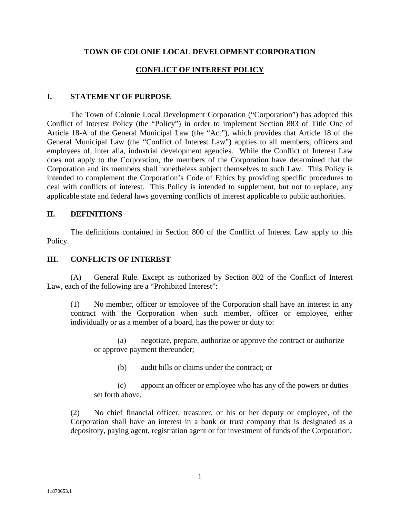## **CONFLICT OF INTEREST POLICY**

## <span id="page-5-0"></span>**I. STATEMENT OF PURPOSE**

The Town of Colonie Local Development Corporation ("Corporation") has adopted this Conflict of Interest Policy (the "Policy") in order to implement Section 883 of Title One of Article 18-A of the General Municipal Law (the "Act"), which provides that Article 18 of the General Municipal Law (the "Conflict of Interest Law") applies to all members, officers and employees of, inter alia, industrial development agencies. While the Conflict of Interest Law does not apply to the Corporation, the members of the Corporation have determined that the Corporation and its members shall nonetheless subject themselves to such Law. This Policy is intended to complement the Corporation's Code of Ethics by providing specific procedures to deal with conflicts of interest. This Policy is intended to supplement, but not to replace, any applicable state and federal laws governing conflicts of interest applicable to public authorities.

## **II. DEFINITIONS**

The definitions contained in Section 800 of the Conflict of Interest Law apply to this Policy.

## **III. CONFLICTS OF INTEREST**

(A) General Rule. Except as authorized by Section 802 of the Conflict of Interest Law, each of the following are a "Prohibited Interest":

(1) No member, officer or employee of the Corporation shall have an interest in any contract with the Corporation when such member, officer or employee, either individually or as a member of a board, has the power or duty to:

(a) negotiate, prepare, authorize or approve the contract or authorize or approve payment thereunder;

(b) audit bills or claims under the contract; or

(c) appoint an officer or employee who has any of the powers or duties set forth above.

(2) No chief financial officer, treasurer, or his or her deputy or employee, of the Corporation shall have an interest in a bank or trust company that is designated as a depository, paying agent, registration agent or for investment of funds of the Corporation.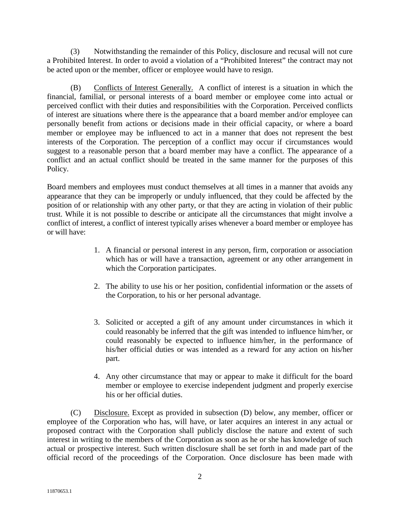(3) Notwithstanding the remainder of this Policy, disclosure and recusal will not cure a Prohibited Interest. In order to avoid a violation of a "Prohibited Interest" the contract may not be acted upon or the member, officer or employee would have to resign.

(B) Conflicts of Interest Generally. A conflict of interest is a situation in which the financial, familial, or personal interests of a board member or employee come into actual or perceived conflict with their duties and responsibilities with the Corporation. Perceived conflicts of interest are situations where there is the appearance that a board member and/or employee can personally benefit from actions or decisions made in their official capacity, or where a board member or employee may be influenced to act in a manner that does not represent the best interests of the Corporation. The perception of a conflict may occur if circumstances would suggest to a reasonable person that a board member may have a conflict. The appearance of a conflict and an actual conflict should be treated in the same manner for the purposes of this Policy.

Board members and employees must conduct themselves at all times in a manner that avoids any appearance that they can be improperly or unduly influenced, that they could be affected by the position of or relationship with any other party, or that they are acting in violation of their public trust. While it is not possible to describe or anticipate all the circumstances that might involve a conflict of interest, a conflict of interest typically arises whenever a board member or employee has or will have:

- 1. A financial or personal interest in any person, firm, corporation or association which has or will have a transaction, agreement or any other arrangement in which the Corporation participates.
- 2. The ability to use his or her position, confidential information or the assets of the Corporation, to his or her personal advantage.
- 3. Solicited or accepted a gift of any amount under circumstances in which it could reasonably be inferred that the gift was intended to influence him/her, or could reasonably be expected to influence him/her, in the performance of his/her official duties or was intended as a reward for any action on his/her part.
- 4. Any other circumstance that may or appear to make it difficult for the board member or employee to exercise independent judgment and properly exercise his or her official duties.

(C) Disclosure. Except as provided in subsection (D) below, any member, officer or employee of the Corporation who has, will have, or later acquires an interest in any actual or proposed contract with the Corporation shall publicly disclose the nature and extent of such interest in writing to the members of the Corporation as soon as he or she has knowledge of such actual or prospective interest. Such written disclosure shall be set forth in and made part of the official record of the proceedings of the Corporation. Once disclosure has been made with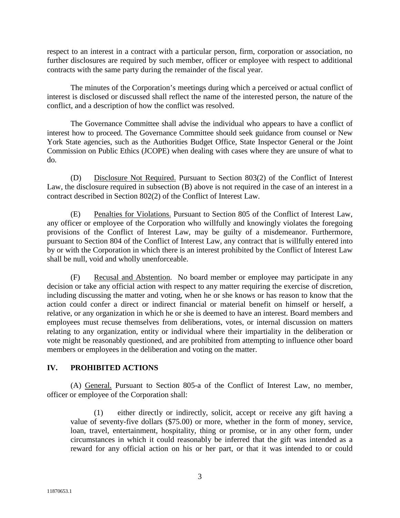respect to an interest in a contract with a particular person, firm, corporation or association, no further disclosures are required by such member, officer or employee with respect to additional contracts with the same party during the remainder of the fiscal year.

The minutes of the Corporation's meetings during which a perceived or actual conflict of interest is disclosed or discussed shall reflect the name of the interested person, the nature of the conflict, and a description of how the conflict was resolved.

The Governance Committee shall advise the individual who appears to have a conflict of interest how to proceed. The Governance Committee should seek guidance from counsel or New York State agencies, such as the Authorities Budget Office, State Inspector General or the Joint Commission on Public Ethics (JCOPE) when dealing with cases where they are unsure of what to do.

(D) Disclosure Not Required. Pursuant to Section 803(2) of the Conflict of Interest Law, the disclosure required in subsection (B) above is not required in the case of an interest in a contract described in Section 802(2) of the Conflict of Interest Law.

(E) Penalties for Violations. Pursuant to Section 805 of the Conflict of Interest Law, any officer or employee of the Corporation who willfully and knowingly violates the foregoing provisions of the Conflict of Interest Law, may be guilty of a misdemeanor. Furthermore, pursuant to Section 804 of the Conflict of Interest Law, any contract that is willfully entered into by or with the Corporation in which there is an interest prohibited by the Conflict of Interest Law shall be null, void and wholly unenforceable.

(F) Recusal and Abstention. No board member or employee may participate in any decision or take any official action with respect to any matter requiring the exercise of discretion, including discussing the matter and voting, when he or she knows or has reason to know that the action could confer a direct or indirect financial or material benefit on himself or herself, a relative, or any organization in which he or she is deemed to have an interest. Board members and employees must recuse themselves from deliberations, votes, or internal discussion on matters relating to any organization, entity or individual where their impartiality in the deliberation or vote might be reasonably questioned, and are prohibited from attempting to influence other board members or employees in the deliberation and voting on the matter.

## **IV. PROHIBITED ACTIONS**

(A) General. Pursuant to Section 805-a of the Conflict of Interest Law, no member, officer or employee of the Corporation shall:

(1) either directly or indirectly, solicit, accept or receive any gift having a value of seventy-five dollars (\$75.00) or more, whether in the form of money, service, loan, travel, entertainment, hospitality, thing or promise, or in any other form, under circumstances in which it could reasonably be inferred that the gift was intended as a reward for any official action on his or her part, or that it was intended to or could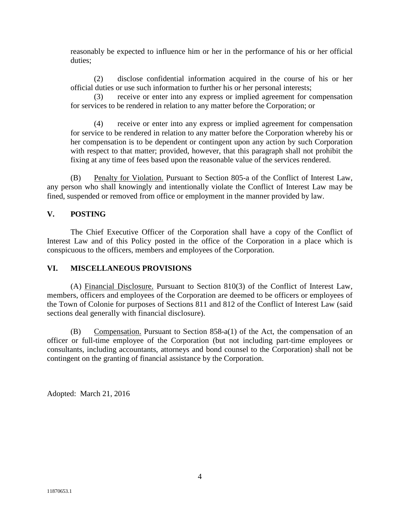reasonably be expected to influence him or her in the performance of his or her official duties;

(2) disclose confidential information acquired in the course of his or her official duties or use such information to further his or her personal interests;

(3) receive or enter into any express or implied agreement for compensation for services to be rendered in relation to any matter before the Corporation; or

(4) receive or enter into any express or implied agreement for compensation for service to be rendered in relation to any matter before the Corporation whereby his or her compensation is to be dependent or contingent upon any action by such Corporation with respect to that matter; provided, however, that this paragraph shall not prohibit the fixing at any time of fees based upon the reasonable value of the services rendered.

(B) Penalty for Violation. Pursuant to Section 805-a of the Conflict of Interest Law, any person who shall knowingly and intentionally violate the Conflict of Interest Law may be fined, suspended or removed from office or employment in the manner provided by law.

## **V. POSTING**

The Chief Executive Officer of the Corporation shall have a copy of the Conflict of Interest Law and of this Policy posted in the office of the Corporation in a place which is conspicuous to the officers, members and employees of the Corporation.

### **VI. MISCELLANEOUS PROVISIONS**

(A) Financial Disclosure. Pursuant to Section 810(3) of the Conflict of Interest Law, members, officers and employees of the Corporation are deemed to be officers or employees of the Town of Colonie for purposes of Sections 811 and 812 of the Conflict of Interest Law (said sections deal generally with financial disclosure).

(B) Compensation. Pursuant to Section 858-a(1) of the Act, the compensation of an officer or full-time employee of the Corporation (but not including part-time employees or consultants, including accountants, attorneys and bond counsel to the Corporation) shall not be contingent on the granting of financial assistance by the Corporation.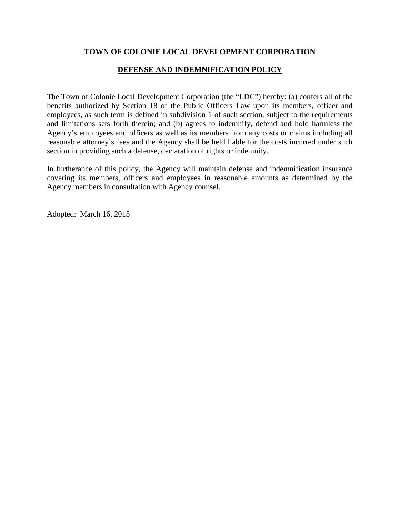## **DEFENSE AND INDEMNIFICATION POLICY**

<span id="page-9-0"></span>The Town of Colonie Local Development Corporation (the "LDC") hereby: (a) confers all of the benefits authorized by Section 18 of the Public Officers Law upon its members, officer and employees, as such term is defined in subdivision 1 of such section, subject to the requirements and limitations sets forth therein; and (b) agrees to indemnify, defend and hold harmless the Agency's employees and officers as well as its members from any costs or claims including all reasonable attorney's fees and the Agency shall be held liable for the costs incurred under such section in providing such a defense, declaration of rights or indemnity.

In furtherance of this policy, the Agency will maintain defense and indemnification insurance covering its members, officers and employees in reasonable amounts as determined by the Agency members in consultation with Agency counsel.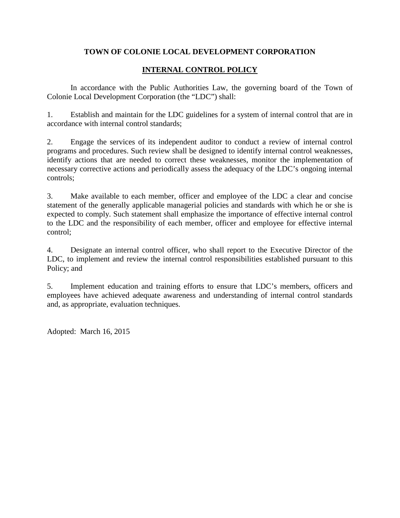# **INTERNAL CONTROL POLICY**

<span id="page-10-0"></span>In accordance with the Public Authorities Law, the governing board of the Town of Colonie Local Development Corporation (the "LDC") shall:

1. Establish and maintain for the LDC guidelines for a system of internal control that are in accordance with internal control standards;

2. Engage the services of its independent auditor to conduct a review of internal control programs and procedures. Such review shall be designed to identify internal control weaknesses, identify actions that are needed to correct these weaknesses, monitor the implementation of necessary corrective actions and periodically assess the adequacy of the LDC's ongoing internal controls;

3. Make available to each member, officer and employee of the LDC a clear and concise statement of the generally applicable managerial policies and standards with which he or she is expected to comply. Such statement shall emphasize the importance of effective internal control to the LDC and the responsibility of each member, officer and employee for effective internal control;

4. Designate an internal control officer, who shall report to the Executive Director of the LDC, to implement and review the internal control responsibilities established pursuant to this Policy; and

5. Implement education and training efforts to ensure that LDC's members, officers and employees have achieved adequate awareness and understanding of internal control standards and, as appropriate, evaluation techniques.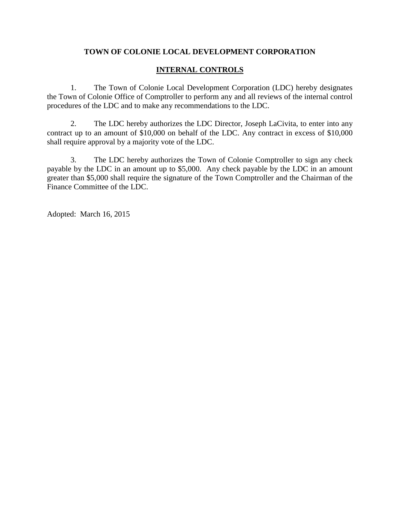# **INTERNAL CONTROLS**

<span id="page-11-0"></span>1. The Town of Colonie Local Development Corporation (LDC) hereby designates the Town of Colonie Office of Comptroller to perform any and all reviews of the internal control procedures of the LDC and to make any recommendations to the LDC.

2. The LDC hereby authorizes the LDC Director, Joseph LaCivita, to enter into any contract up to an amount of \$10,000 on behalf of the LDC. Any contract in excess of \$10,000 shall require approval by a majority vote of the LDC.

3. The LDC hereby authorizes the Town of Colonie Comptroller to sign any check payable by the LDC in an amount up to \$5,000. Any check payable by the LDC in an amount greater than \$5,000 shall require the signature of the Town Comptroller and the Chairman of the Finance Committee of the LDC.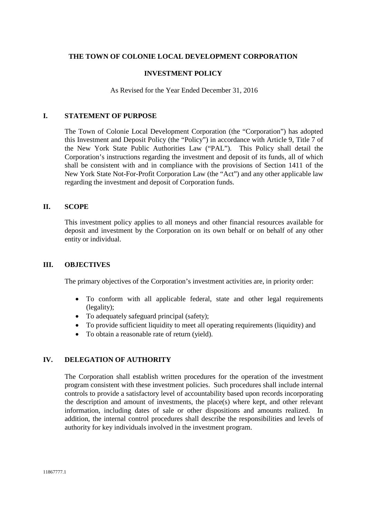#### **INVESTMENT POLICY**

As Revised for the Year Ended December 31, 2016

#### <span id="page-12-0"></span>**I. STATEMENT OF PURPOSE**

The Town of Colonie Local Development Corporation (the "Corporation") has adopted this Investment and Deposit Policy (the "Policy") in accordance with Article 9, Title 7 of the New York State Public Authorities Law ("PAL"). This Policy shall detail the Corporation's instructions regarding the investment and deposit of its funds, all of which shall be consistent with and in compliance with the provisions of Section 1411 of the New York State Not-For-Profit Corporation Law (the "Act") and any other applicable law regarding the investment and deposit of Corporation funds.

### **II. SCOPE**

This investment policy applies to all moneys and other financial resources available for deposit and investment by the Corporation on its own behalf or on behalf of any other entity or individual.

### **III. OBJECTIVES**

The primary objectives of the Corporation's investment activities are, in priority order:

- To conform with all applicable federal, state and other legal requirements (legality);
- To adequately safeguard principal (safety);
- To provide sufficient liquidity to meet all operating requirements (liquidity) and
- To obtain a reasonable rate of return (yield).

### **IV. DELEGATION OF AUTHORITY**

The Corporation shall establish written procedures for the operation of the investment program consistent with these investment policies. Such procedures shall include internal controls to provide a satisfactory level of accountability based upon records incorporating the description and amount of investments, the place(s) where kept, and other relevant information, including dates of sale or other dispositions and amounts realized. In addition, the internal control procedures shall describe the responsibilities and levels of authority for key individuals involved in the investment program.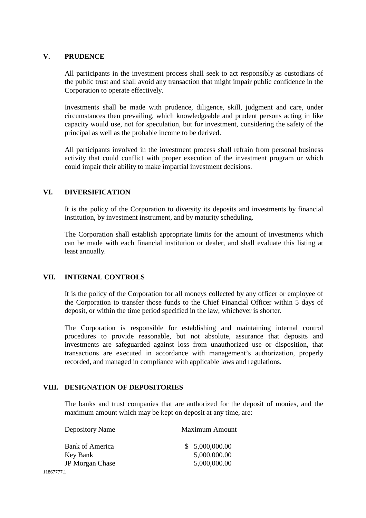### **V. PRUDENCE**

All participants in the investment process shall seek to act responsibly as custodians of the public trust and shall avoid any transaction that might impair public confidence in the Corporation to operate effectively.

Investments shall be made with prudence, diligence, skill, judgment and care, under circumstances then prevailing, which knowledgeable and prudent persons acting in like capacity would use, not for speculation, but for investment, considering the safety of the principal as well as the probable income to be derived.

All participants involved in the investment process shall refrain from personal business activity that could conflict with proper execution of the investment program or which could impair their ability to make impartial investment decisions.

## **VI. DIVERSIFICATION**

It is the policy of the Corporation to diversity its deposits and investments by financial institution, by investment instrument, and by maturity scheduling.

The Corporation shall establish appropriate limits for the amount of investments which can be made with each financial institution or dealer, and shall evaluate this listing at least annually.

### **VII. INTERNAL CONTROLS**

It is the policy of the Corporation for all moneys collected by any officer or employee of the Corporation to transfer those funds to the Chief Financial Officer within 5 days of deposit, or within the time period specified in the law, whichever is shorter.

The Corporation is responsible for establishing and maintaining internal control procedures to provide reasonable, but not absolute, assurance that deposits and investments are safeguarded against loss from unauthorized use or disposition, that transactions are executed in accordance with management's authorization, properly recorded, and managed in compliance with applicable laws and regulations.

### **VIII. DESIGNATION OF DEPOSITORIES**

The banks and trust companies that are authorized for the deposit of monies, and the maximum amount which may be kept on deposit at any time, are:

| Depository Name        | <b>Maximum Amount</b> |
|------------------------|-----------------------|
| Bank of America        | \$5,000,000.00        |
| Key Bank               | 5,000,000.00          |
| <b>JP</b> Morgan Chase | 5,000,000.00          |
| 71                     |                       |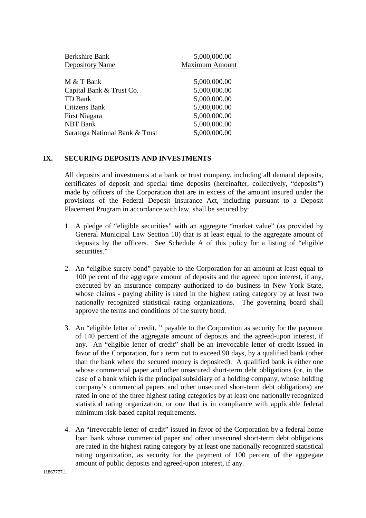| Berkshire Bank<br><b>Depository Name</b> | 5,000,000.00<br><b>Maximum Amount</b> |
|------------------------------------------|---------------------------------------|
| M & T Bank                               | 5,000,000.00                          |
| Capital Bank & Trust Co.                 | 5,000,000.00                          |
| TD Bank                                  | 5,000,000.00                          |
| Citizens Bank                            | 5,000,000.00                          |
| First Niagara                            | 5,000,000.00                          |
| <b>NBT</b> Bank                          | 5,000,000.00                          |
| Saratoga National Bank & Trust           | 5,000,000.00                          |

#### **IX. SECURING DEPOSITS AND INVESTMENTS**

All deposits and investments at a bank or trust company, including all demand deposits, certificates of deposit and special time deposits (hereinafter, collectively, "deposits") made by officers of the Corporation that are in excess of the amount insured under the provisions of the Federal Deposit Insurance Act, including pursuant to a Deposit Placement Program in accordance with law, shall be secured by:

- 1. A pledge of "eligible securities" with an aggregate "market value" (as provided by General Municipal Law Section 10) that is at least equal to the aggregate amount of deposits by the officers. See Schedule A of this policy for a listing of "eligible securities."
- 2. An "eligible surety bond" payable to the Corporation for an amount at least equal to 100 percent of the aggregate amount of deposits and the agreed upon interest, if any, executed by an insurance company authorized to do business in New York State, whose claims - paying ability is rated in the highest rating category by at least two nationally recognized statistical rating organizations. The governing board shall approve the terms and conditions of the surety bond.
- 3. An "eligible letter of credit, " payable to the Corporation as security for the payment of 140 percent of the aggregate amount of deposits and the agreed-upon interest, if any. An "eligible letter of credit" shall be an irrevocable letter of credit issued in favor of the Corporation, for a term not to exceed 90 days, by a qualified bank (other than the bank where the secured money is deposited). A qualified bank is either one whose commercial paper and other unsecured short-term debt obligations (or, in the case of a bank which is the principal subsidiary of a holding company, whose holding company's commercial papers and other unsecured short-term debt obligations) are rated in one of the three highest rating categories by at least one nationally recognized statistical rating organization, or one that is in compliance with applicable federal minimum risk-based capital requirements.
- 4. An "irrevocable letter of credit" issued in favor of the Corporation by a federal home loan bank whose commercial paper and other unsecured short-term debt obligations are rated in the highest rating category by at least one nationally recognized statistical rating organization, as security for the payment of 100 percent of the aggregate amount of public deposits and agreed-upon interest, if any.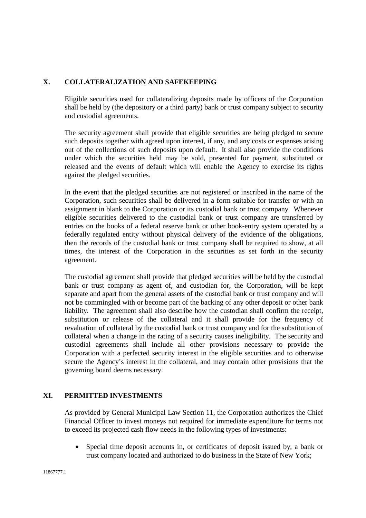## **X. COLLATERALIZATION AND SAFEKEEPING**

Eligible securities used for collateralizing deposits made by officers of the Corporation shall be held by (the depository or a third party) bank or trust company subject to security and custodial agreements.

The security agreement shall provide that eligible securities are being pledged to secure such deposits together with agreed upon interest, if any, and any costs or expenses arising out of the collections of such deposits upon default. It shall also provide the conditions under which the securities held may be sold, presented for payment, substituted or released and the events of default which will enable the Agency to exercise its rights against the pledged securities.

In the event that the pledged securities are not registered or inscribed in the name of the Corporation, such securities shall be delivered in a form suitable for transfer or with an assignment in blank to the Corporation or its custodial bank or trust company. Whenever eligible securities delivered to the custodial bank or trust company are transferred by entries on the books of a federal reserve bank or other book-entry system operated by a federally regulated entity without physical delivery of the evidence of the obligations, then the records of the custodial bank or trust company shall be required to show, at all times, the interest of the Corporation in the securities as set forth in the security agreement.

The custodial agreement shall provide that pledged securities will be held by the custodial bank or trust company as agent of, and custodian for, the Corporation, will be kept separate and apart from the general assets of the custodial bank or trust company and will not be commingled with or become part of the backing of any other deposit or other bank liability. The agreement shall also describe how the custodian shall confirm the receipt, substitution or release of the collateral and it shall provide for the frequency of revaluation of collateral by the custodial bank or trust company and for the substitution of collateral when a change in the rating of a security causes ineligibility. The security and custodial agreements shall include all other provisions necessary to provide the Corporation with a perfected security interest in the eligible securities and to otherwise secure the Agency's interest in the collateral, and may contain other provisions that the governing board deems necessary.

## **XI. PERMITTED INVESTMENTS**

As provided by General Municipal Law Section 11, the Corporation authorizes the Chief Financial Officer to invest moneys not required for immediate expenditure for terms not to exceed its projected cash flow needs in the following types of investments:

 Special time deposit accounts in, or certificates of deposit issued by, a bank or trust company located and authorized to do business in the State of New York;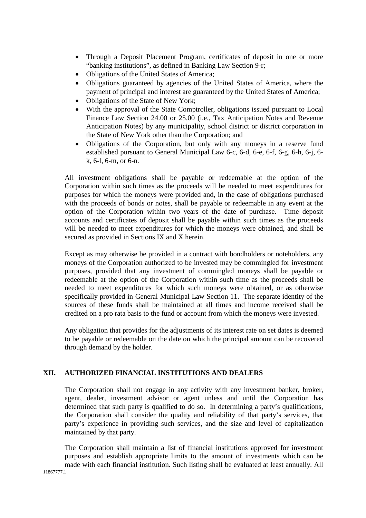- Through a Deposit Placement Program, certificates of deposit in one or more "banking institutions", as defined in Banking Law Section 9-r;
- Obligations of the United States of America;
- Obligations guaranteed by agencies of the United States of America, where the payment of principal and interest are guaranteed by the United States of America;
- Obligations of the State of New York;
- With the approval of the State Comptroller, obligations issued pursuant to Local Finance Law Section 24.00 or 25.00 (i.e., Tax Anticipation Notes and Revenue Anticipation Notes) by any municipality, school district or district corporation in the State of New York other than the Corporation; and
- Obligations of the Corporation, but only with any moneys in a reserve fund established pursuant to General Municipal Law 6-c, 6-d, 6-e, 6-f, 6-g, 6-h, 6-j, 6 k, 6-l, 6-m, or 6-n.

All investment obligations shall be payable or redeemable at the option of the Corporation within such times as the proceeds will be needed to meet expenditures for purposes for which the moneys were provided and, in the case of obligations purchased with the proceeds of bonds or notes, shall be payable or redeemable in any event at the option of the Corporation within two years of the date of purchase. Time deposit accounts and certificates of deposit shall be payable within such times as the proceeds will be needed to meet expenditures for which the moneys were obtained, and shall be secured as provided in Sections IX and X herein.

Except as may otherwise be provided in a contract with bondholders or noteholders, any moneys of the Corporation authorized to be invested may be commingled for investment purposes, provided that any investment of commingled moneys shall be payable or redeemable at the option of the Corporation within such time as the proceeds shall be needed to meet expenditures for which such moneys were obtained, or as otherwise specifically provided in General Municipal Law Section 11. The separate identity of the sources of these funds shall be maintained at all times and income received shall be credited on a pro rata basis to the fund or account from which the moneys were invested.

Any obligation that provides for the adjustments of its interest rate on set dates is deemed to be payable or redeemable on the date on which the principal amount can be recovered through demand by the holder.

## **XII. AUTHORIZED FINANCIAL INSTITUTIONS AND DEALERS**

The Corporation shall not engage in any activity with any investment banker, broker, agent, dealer, investment advisor or agent unless and until the Corporation has determined that such party is qualified to do so. In determining a party's qualifications, the Corporation shall consider the quality and reliability of that party's services, that party's experience in providing such services, and the size and level of capitalization maintained by that party.

The Corporation shall maintain a list of financial institutions approved for investment purposes and establish appropriate limits to the amount of investments which can be made with each financial institution. Such listing shall be evaluated at least annually. All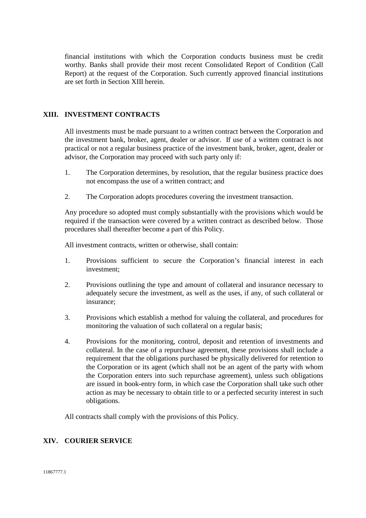financial institutions with which the Corporation conducts business must be credit worthy. Banks shall provide their most recent Consolidated Report of Condition (Call Report) at the request of the Corporation. Such currently approved financial institutions are set forth in Section XIII herein.

## **XIII. INVESTMENT CONTRACTS**

All investments must be made pursuant to a written contract between the Corporation and the investment bank, broker, agent, dealer or advisor. If use of a written contract is not practical or not a regular business practice of the investment bank, broker, agent, dealer or advisor, the Corporation may proceed with such party only if:

- 1. The Corporation determines, by resolution, that the regular business practice does not encompass the use of a written contract; and
- 2. The Corporation adopts procedures covering the investment transaction.

Any procedure so adopted must comply substantially with the provisions which would be required if the transaction were covered by a written contract as described below. Those procedures shall thereafter become a part of this Policy.

All investment contracts, written or otherwise, shall contain:

- 1. Provisions sufficient to secure the Corporation's financial interest in each investment;
- 2. Provisions outlining the type and amount of collateral and insurance necessary to adequately secure the investment, as well as the uses, if any, of such collateral or insurance;
- 3. Provisions which establish a method for valuing the collateral, and procedures for monitoring the valuation of such collateral on a regular basis;
- 4. Provisions for the monitoring, control, deposit and retention of investments and collateral. In the case of a repurchase agreement, these provisions shall include a requirement that the obligations purchased be physically delivered for retention to the Corporation or its agent (which shall not be an agent of the party with whom the Corporation enters into such repurchase agreement), unless such obligations are issued in book-entry form, in which case the Corporation shall take such other action as may be necessary to obtain title to or a perfected security interest in such obligations.

All contracts shall comply with the provisions of this Policy.

### **XIV. COURIER SERVICE**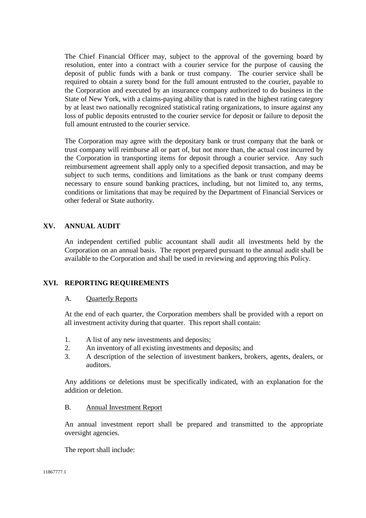The Chief Financial Officer may, subject to the approval of the governing board by resolution, enter into a contract with a courier service for the purpose of causing the deposit of public funds with a bank or trust company. The courier service shall be required to obtain a surety bond for the full amount entrusted to the courier, payable to the Corporation and executed by an insurance company authorized to do business in the State of New York, with a claims-paying ability that is rated in the highest rating category by at least two nationally recognized statistical rating organizations, to insure against any loss of public deposits entrusted to the courier service for deposit or failure to deposit the full amount entrusted to the courier service.

The Corporation may agree with the depositary bank or trust company that the bank or trust company will reimburse all or part of, but not more than, the actual cost incurred by the Corporation in transporting items for deposit through a courier service. Any such reimbursement agreement shall apply only to a specified deposit transaction, and may be subject to such terms, conditions and limitations as the bank or trust company deems necessary to ensure sound banking practices, including, but not limited to, any terms, conditions or limitations that may be required by the Department of Financial Services or other federal or State authority.

## **XV. ANNUAL AUDIT**

An independent certified public accountant shall audit all investments held by the Corporation on an annual basis. The report prepared pursuant to the annual audit shall be available to the Corporation and shall be used in reviewing and approving this Policy.

### **XVI. REPORTING REQUIREMENTS**

### A. Quarterly Reports

At the end of each quarter, the Corporation members shall be provided with a report on all investment activity during that quarter. This report shall contain:

- 1. A list of any new investments and deposits;
- 2. An inventory of all existing investments and deposits; and
- 3. A description of the selection of investment bankers, brokers, agents, dealers, or auditors.

Any additions or deletions must be specifically indicated, with an explanation for the addition or deletion.

#### B. Annual Investment Report

An annual investment report shall be prepared and transmitted to the appropriate oversight agencies.

The report shall include: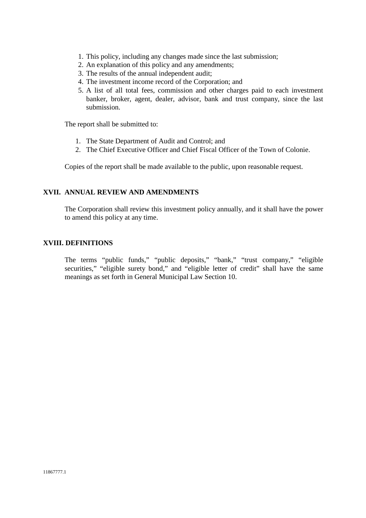- 1. This policy, including any changes made since the last submission;
- 2. An explanation of this policy and any amendments;
- 3. The results of the annual independent audit;
- 4. The investment income record of the Corporation; and
- 5. A list of all total fees, commission and other charges paid to each investment banker, broker, agent, dealer, advisor, bank and trust company, since the last submission.

The report shall be submitted to:

- 1. The State Department of Audit and Control; and
- 2. The Chief Executive Officer and Chief Fiscal Officer of the Town of Colonie.

Copies of the report shall be made available to the public, upon reasonable request.

### **XVII. ANNUAL REVIEW AND AMENDMENTS**

The Corporation shall review this investment policy annually, and it shall have the power to amend this policy at any time.

#### **XVIII. DEFINITIONS**

The terms "public funds," "public deposits," "bank," "trust company," "eligible securities," "eligible surety bond," and "eligible letter of credit" shall have the same meanings as set forth in General Municipal Law Section 10.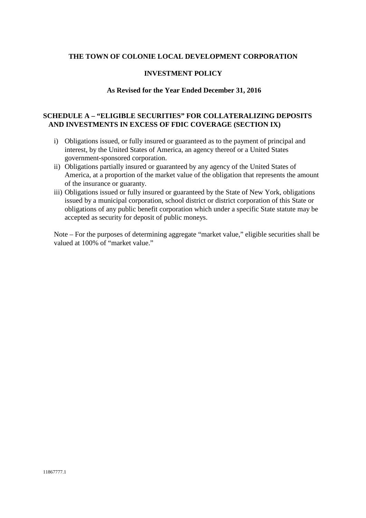#### **INVESTMENT POLICY**

#### **As Revised for the Year Ended December 31, 2016**

## **SCHEDULE A – "ELIGIBLE SECURITIES" FOR COLLATERALIZING DEPOSITS AND INVESTMENTS IN EXCESS OF FDIC COVERAGE (SECTION IX)**

- i) Obligations issued, or fully insured or guaranteed as to the payment of principal and interest, by the United States of America, an agency thereof or a United States government-sponsored corporation.
- ii) Obligations partially insured or guaranteed by any agency of the United States of America, at a proportion of the market value of the obligation that represents the amount of the insurance or guaranty.
- iii) Obligations issued or fully insured or guaranteed by the State of New York, obligations issued by a municipal corporation, school district or district corporation of this State or obligations of any public benefit corporation which under a specific State statute may be accepted as security for deposit of public moneys.

Note – For the purposes of determining aggregate "market value," eligible securities shall be valued at 100% of "market value."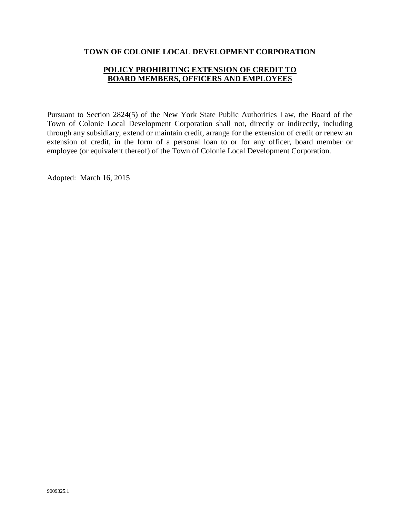## **POLICY PROHIBITING EXTENSION OF CREDIT TO BOARD MEMBERS, OFFICERS AND EMPLOYEES**

<span id="page-21-0"></span>Pursuant to Section 2824(5) of the New York State Public Authorities Law, the Board of the Town of Colonie Local Development Corporation shall not, directly or indirectly, including through any subsidiary, extend or maintain credit, arrange for the extension of credit or renew an extension of credit, in the form of a personal loan to or for any officer, board member or employee (or equivalent thereof) of the Town of Colonie Local Development Corporation.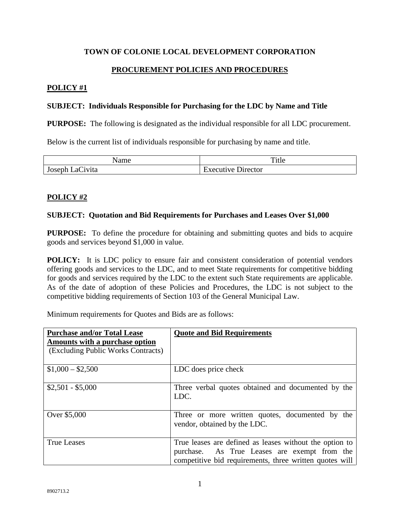## **PROCUREMENT POLICIES AND PROCEDURES**

## <span id="page-22-0"></span>**POLICY #1**

### **SUBJECT: Individuals Responsible for Purchasing for the LDC by Name and Title**

**PURPOSE:** The following is designated as the individual responsible for all LDC procurement.

Below is the current list of individuals responsible for purchasing by name and title.

| ∤ame                             | m.<br>Title                                 |
|----------------------------------|---------------------------------------------|
| $\sim$<br>`ivita<br>Эl<br>Joseph | <b>Director</b><br>'YACUTUNA<br>.<br>$\sim$ |

## **POLICY #2**

### **SUBJECT: Quotation and Bid Requirements for Purchases and Leases Over \$1,000**

**PURPOSE:** To define the procedure for obtaining and submitting quotes and bids to acquire goods and services beyond \$1,000 in value.

**POLICY:** It is LDC policy to ensure fair and consistent consideration of potential vendors offering goods and services to the LDC, and to meet State requirements for competitive bidding for goods and services required by the LDC to the extent such State requirements are applicable. As of the date of adoption of these Policies and Procedures, the LDC is not subject to the competitive bidding requirements of Section 103 of the General Municipal Law.

Minimum requirements for Quotes and Bids are as follows:

| <b>Purchase and/or Total Lease</b><br>Amounts with a purchase option<br>(Excluding Public Works Contracts) | <b>Quote and Bid Requirements</b>                                                                                                                                  |
|------------------------------------------------------------------------------------------------------------|--------------------------------------------------------------------------------------------------------------------------------------------------------------------|
| $$1,000 - $2,500$                                                                                          | LDC does price check                                                                                                                                               |
| $$2,501 - $5,000$                                                                                          | Three verbal quotes obtained and documented by the<br>LDC.                                                                                                         |
| Over \$5,000                                                                                               | Three or more written quotes, documented by the<br>vendor, obtained by the LDC.                                                                                    |
| <b>True Leases</b>                                                                                         | True leases are defined as leases without the option to<br>purchase. As True Leases are exempt from the<br>competitive bid requirements, three written quotes will |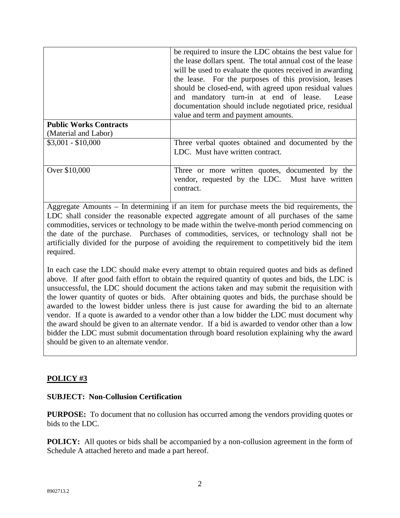|                               | be required to insure the LDC obtains the best value for<br>the lease dollars spent. The total annual cost of the lease<br>will be used to evaluate the quotes received in awarding<br>the lease. For the purposes of this provision, leases<br>should be closed-end, with agreed upon residual values |
|-------------------------------|--------------------------------------------------------------------------------------------------------------------------------------------------------------------------------------------------------------------------------------------------------------------------------------------------------|
|                               | and mandatory turn-in at end of lease.<br>Lease                                                                                                                                                                                                                                                        |
|                               | documentation should include negotiated price, residual<br>value and term and payment amounts.                                                                                                                                                                                                         |
| <b>Public Works Contracts</b> |                                                                                                                                                                                                                                                                                                        |
| (Material and Labor)          |                                                                                                                                                                                                                                                                                                        |
| $$3,001 - $10,000$            | Three verbal quotes obtained and documented by the<br>LDC. Must have written contract.                                                                                                                                                                                                                 |
| Over \$10,000                 | Three or more written quotes, documented by the<br>vendor, requested by the LDC. Must have written<br>contract.                                                                                                                                                                                        |

Aggregate Amounts – In determining if an item for purchase meets the bid requirements, the LDC shall consider the reasonable expected aggregate amount of all purchases of the same commodities, services or technology to be made within the twelve-month period commencing on the date of the purchase. Purchases of commodities, services, or technology shall not be artificially divided for the purpose of avoiding the requirement to competitively bid the item required.

In each case the LDC should make every attempt to obtain required quotes and bids as defined above. If after good faith effort to obtain the required quantity of quotes and bids, the LDC is unsuccessful, the LDC should document the actions taken and may submit the requisition with the lower quantity of quotes or bids. After obtaining quotes and bids, the purchase should be awarded to the lowest bidder unless there is just cause for awarding the bid to an alternate vendor. If a quote is awarded to a vendor other than a low bidder the LDC must document why the award should be given to an alternate vendor. If a bid is awarded to vendor other than a low bidder the LDC must submit documentation through board resolution explaining why the award should be given to an alternate vendor.

## **POLICY #3**

## **SUBJECT: Non-Collusion Certification**

**PURPOSE:** To document that no collusion has occurred among the vendors providing quotes or bids to the LDC.

**POLICY:** All quotes or bids shall be accompanied by a non-collusion agreement in the form of Schedule A attached hereto and made a part hereof.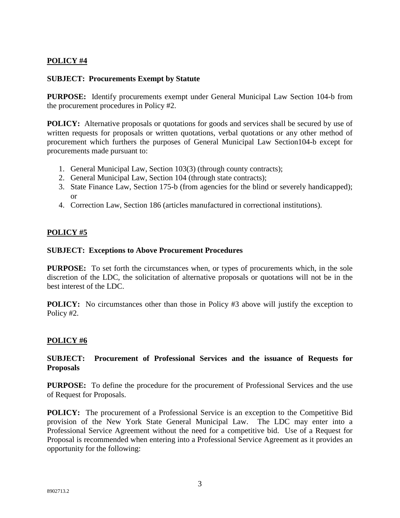# **POLICY #4**

### **SUBJECT: Procurements Exempt by Statute**

**PURPOSE:** Identify procurements exempt under General Municipal Law Section 104-b from the procurement procedures in Policy #2.

**POLICY:** Alternative proposals or quotations for goods and services shall be secured by use of written requests for proposals or written quotations, verbal quotations or any other method of procurement which furthers the purposes of General Municipal Law Section104-b except for procurements made pursuant to:

- 1. General Municipal Law, Section 103(3) (through county contracts);
- 2. General Municipal Law, Section 104 (through state contracts);
- 3. State Finance Law, Section 175-b (from agencies for the blind or severely handicapped); or
- 4. Correction Law, Section 186 (articles manufactured in correctional institutions).

## **POLICY #5**

### **SUBJECT: Exceptions to Above Procurement Procedures**

**PURPOSE:** To set forth the circumstances when, or types of procurements which, in the sole discretion of the LDC, the solicitation of alternative proposals or quotations will not be in the best interest of the LDC.

**POLICY:** No circumstances other than those in Policy #3 above will justify the exception to Policy #2.

### **POLICY #6**

## **SUBJECT: Procurement of Professional Services and the issuance of Requests for Proposals**

**PURPOSE:** To define the procedure for the procurement of Professional Services and the use of Request for Proposals.

**POLICY:** The procurement of a Professional Service is an exception to the Competitive Bid provision of the New York State General Municipal Law. The LDC may enter into a Professional Service Agreement without the need for a competitive bid. Use of a Request for Proposal is recommended when entering into a Professional Service Agreement as it provides an opportunity for the following: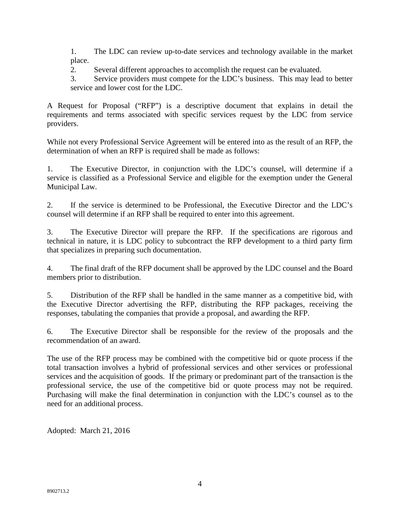1. The LDC can review up-to-date services and technology available in the market place.

2. Several different approaches to accomplish the request can be evaluated.

3. Service providers must compete for the LDC's business. This may lead to better service and lower cost for the LDC.

A Request for Proposal ("RFP") is a descriptive document that explains in detail the requirements and terms associated with specific services request by the LDC from service providers.

While not every Professional Service Agreement will be entered into as the result of an RFP, the determination of when an RFP is required shall be made as follows:

1. The Executive Director, in conjunction with the LDC's counsel, will determine if a service is classified as a Professional Service and eligible for the exemption under the General Municipal Law.

2. If the service is determined to be Professional, the Executive Director and the LDC's counsel will determine if an RFP shall be required to enter into this agreement.

3. The Executive Director will prepare the RFP. If the specifications are rigorous and technical in nature, it is LDC policy to subcontract the RFP development to a third party firm that specializes in preparing such documentation.

4. The final draft of the RFP document shall be approved by the LDC counsel and the Board members prior to distribution.

5. Distribution of the RFP shall be handled in the same manner as a competitive bid, with the Executive Director advertising the RFP, distributing the RFP packages, receiving the responses, tabulating the companies that provide a proposal, and awarding the RFP.

6. The Executive Director shall be responsible for the review of the proposals and the recommendation of an award.

The use of the RFP process may be combined with the competitive bid or quote process if the total transaction involves a hybrid of professional services and other services or professional services and the acquisition of goods. If the primary or predominant part of the transaction is the professional service, the use of the competitive bid or quote process may not be required. Purchasing will make the final determination in conjunction with the LDC's counsel as to the need for an additional process.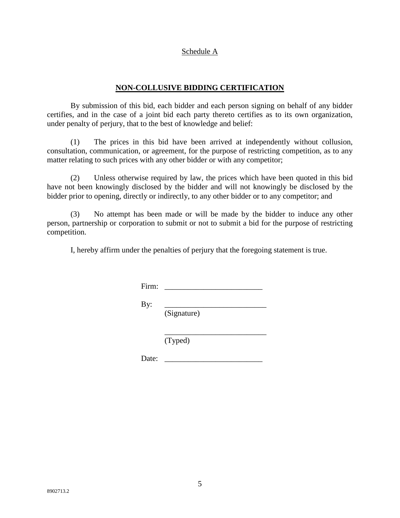#### Schedule A

## **NON-COLLUSIVE BIDDING CERTIFICATION**

By submission of this bid, each bidder and each person signing on behalf of any bidder certifies, and in the case of a joint bid each party thereto certifies as to its own organization, under penalty of perjury, that to the best of knowledge and belief:

(1) The prices in this bid have been arrived at independently without collusion, consultation, communication, or agreement, for the purpose of restricting competition, as to any matter relating to such prices with any other bidder or with any competitor;

(2) Unless otherwise required by law, the prices which have been quoted in this bid have not been knowingly disclosed by the bidder and will not knowingly be disclosed by the bidder prior to opening, directly or indirectly, to any other bidder or to any competitor; and

(3) No attempt has been made or will be made by the bidder to induce any other person, partnership or corporation to submit or not to submit a bid for the purpose of restricting competition.

I, hereby affirm under the penalties of perjury that the foregoing statement is true.

Firm: \_\_\_\_\_\_\_\_\_\_\_\_\_\_\_\_\_\_\_\_\_\_\_\_\_

By: \_\_\_\_\_\_\_\_\_\_\_\_\_\_\_\_\_\_\_\_\_\_\_\_\_\_

(Signature)

\_\_\_\_\_\_\_\_\_\_\_\_\_\_\_\_\_\_\_\_\_\_\_\_\_\_ (Typed)

Date: \_\_\_\_\_\_\_\_\_\_\_\_\_\_\_\_\_\_\_\_\_\_\_\_\_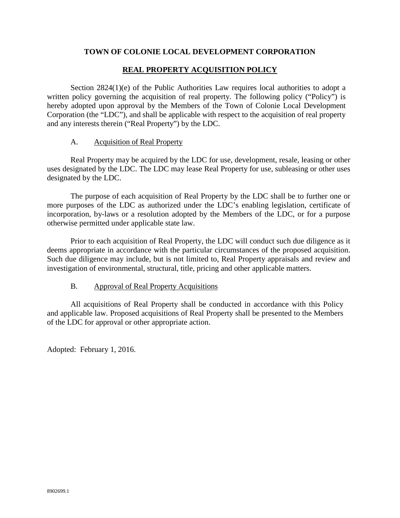## **REAL PROPERTY ACQUISITION POLICY**

<span id="page-27-0"></span>Section 2824(1)(e) of the Public Authorities Law requires local authorities to adopt a written policy governing the acquisition of real property. The following policy ("Policy") is hereby adopted upon approval by the Members of the Town of Colonie Local Development Corporation (the "LDC"), and shall be applicable with respect to the acquisition of real property and any interests therein ("Real Property") by the LDC.

### A. Acquisition of Real Property

Real Property may be acquired by the LDC for use, development, resale, leasing or other uses designated by the LDC. The LDC may lease Real Property for use, subleasing or other uses designated by the LDC.

The purpose of each acquisition of Real Property by the LDC shall be to further one or more purposes of the LDC as authorized under the LDC's enabling legislation, certificate of incorporation, by-laws or a resolution adopted by the Members of the LDC, or for a purpose otherwise permitted under applicable state law.

Prior to each acquisition of Real Property, the LDC will conduct such due diligence as it deems appropriate in accordance with the particular circumstances of the proposed acquisition. Such due diligence may include, but is not limited to, Real Property appraisals and review and investigation of environmental, structural, title, pricing and other applicable matters.

### B. Approval of Real Property Acquisitions

All acquisitions of Real Property shall be conducted in accordance with this Policy and applicable law. Proposed acquisitions of Real Property shall be presented to the Members of the LDC for approval or other appropriate action.

Adopted: February 1, 2016.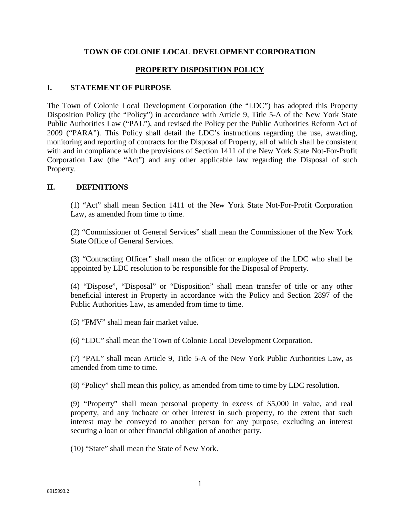## **PROPERTY DISPOSITION POLICY**

### <span id="page-28-0"></span>**I. STATEMENT OF PURPOSE**

The Town of Colonie Local Development Corporation (the "LDC") has adopted this Property Disposition Policy (the "Policy") in accordance with Article 9, Title 5-A of the New York State Public Authorities Law ("PAL"), and revised the Policy per the Public Authorities Reform Act of 2009 ("PARA"). This Policy shall detail the LDC's instructions regarding the use, awarding, monitoring and reporting of contracts for the Disposal of Property, all of which shall be consistent with and in compliance with the provisions of Section 1411 of the New York State Not-For-Profit Corporation Law (the "Act") and any other applicable law regarding the Disposal of such Property.

### **II. DEFINITIONS**

(1) "Act" shall mean Section 1411 of the New York State Not-For-Profit Corporation Law, as amended from time to time.

(2) "Commissioner of General Services" shall mean the Commissioner of the New York State Office of General Services.

(3) "Contracting Officer" shall mean the officer or employee of the LDC who shall be appointed by LDC resolution to be responsible for the Disposal of Property.

(4) "Dispose", "Disposal" or "Disposition" shall mean transfer of title or any other beneficial interest in Property in accordance with the Policy and Section 2897 of the Public Authorities Law, as amended from time to time.

(5) "FMV" shall mean fair market value.

(6) "LDC" shall mean the Town of Colonie Local Development Corporation.

(7) "PAL" shall mean Article 9, Title 5-A of the New York Public Authorities Law, as amended from time to time.

(8) "Policy" shall mean this policy, as amended from time to time by LDC resolution.

(9) "Property" shall mean personal property in excess of \$5,000 in value, and real property, and any inchoate or other interest in such property, to the extent that such interest may be conveyed to another person for any purpose, excluding an interest securing a loan or other financial obligation of another party.

(10) "State" shall mean the State of New York.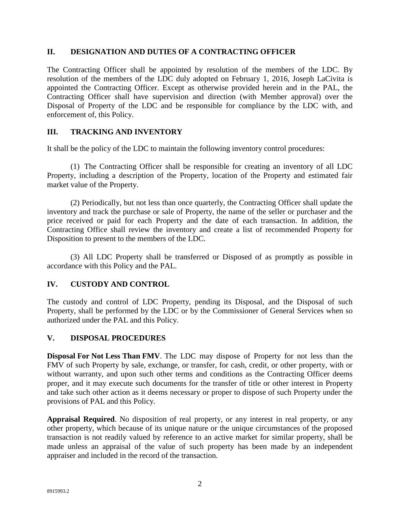## **II. DESIGNATION AND DUTIES OF A CONTRACTING OFFICER**

The Contracting Officer shall be appointed by resolution of the members of the LDC. By resolution of the members of the LDC duly adopted on February 1, 2016, Joseph LaCivita is appointed the Contracting Officer. Except as otherwise provided herein and in the PAL, the Contracting Officer shall have supervision and direction (with Member approval) over the Disposal of Property of the LDC and be responsible for compliance by the LDC with, and enforcement of, this Policy.

## **III. TRACKING AND INVENTORY**

It shall be the policy of the LDC to maintain the following inventory control procedures:

(1) The Contracting Officer shall be responsible for creating an inventory of all LDC Property, including a description of the Property, location of the Property and estimated fair market value of the Property.

(2) Periodically, but not less than once quarterly, the Contracting Officer shall update the inventory and track the purchase or sale of Property, the name of the seller or purchaser and the price received or paid for each Property and the date of each transaction. In addition, the Contracting Office shall review the inventory and create a list of recommended Property for Disposition to present to the members of the LDC.

(3) All LDC Property shall be transferred or Disposed of as promptly as possible in accordance with this Policy and the PAL.

## **IV. CUSTODY AND CONTROL**

The custody and control of LDC Property, pending its Disposal, and the Disposal of such Property, shall be performed by the LDC or by the Commissioner of General Services when so authorized under the PAL and this Policy.

## **V. DISPOSAL PROCEDURES**

**Disposal For Not Less Than FMV**. The LDC may dispose of Property for not less than the FMV of such Property by sale, exchange, or transfer, for cash, credit, or other property, with or without warranty, and upon such other terms and conditions as the Contracting Officer deems proper, and it may execute such documents for the transfer of title or other interest in Property and take such other action as it deems necessary or proper to dispose of such Property under the provisions of PAL and this Policy.

**Appraisal Required**. No disposition of real property, or any interest in real property, or any other property, which because of its unique nature or the unique circumstances of the proposed transaction is not readily valued by reference to an active market for similar property, shall be made unless an appraisal of the value of such property has been made by an independent appraiser and included in the record of the transaction.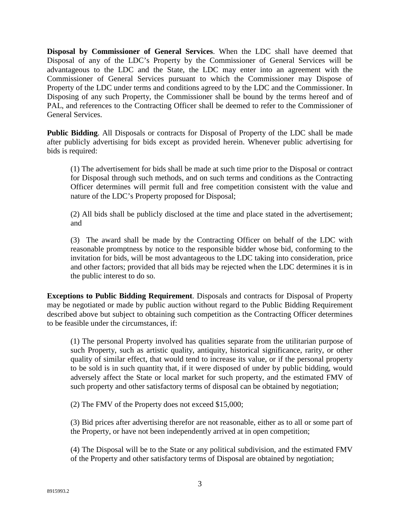**Disposal by Commissioner of General Services**. When the LDC shall have deemed that Disposal of any of the LDC's Property by the Commissioner of General Services will be advantageous to the LDC and the State, the LDC may enter into an agreement with the Commissioner of General Services pursuant to which the Commissioner may Dispose of Property of the LDC under terms and conditions agreed to by the LDC and the Commissioner. In Disposing of any such Property, the Commissioner shall be bound by the terms hereof and of PAL, and references to the Contracting Officer shall be deemed to refer to the Commissioner of General Services.

**Public Bidding**. All Disposals or contracts for Disposal of Property of the LDC shall be made after publicly advertising for bids except as provided herein. Whenever public advertising for bids is required:

(1) The advertisement for bids shall be made at such time prior to the Disposal or contract for Disposal through such methods, and on such terms and conditions as the Contracting Officer determines will permit full and free competition consistent with the value and nature of the LDC's Property proposed for Disposal;

(2) All bids shall be publicly disclosed at the time and place stated in the advertisement; and

(3) The award shall be made by the Contracting Officer on behalf of the LDC with reasonable promptness by notice to the responsible bidder whose bid, conforming to the invitation for bids, will be most advantageous to the LDC taking into consideration, price and other factors; provided that all bids may be rejected when the LDC determines it is in the public interest to do so.

**Exceptions to Public Bidding Requirement**. Disposals and contracts for Disposal of Property may be negotiated or made by public auction without regard to the Public Bidding Requirement described above but subject to obtaining such competition as the Contracting Officer determines to be feasible under the circumstances, if:

(1) The personal Property involved has qualities separate from the utilitarian purpose of such Property, such as artistic quality, antiquity, historical significance, rarity, or other quality of similar effect, that would tend to increase its value, or if the personal property to be sold is in such quantity that, if it were disposed of under by public bidding, would adversely affect the State or local market for such property, and the estimated FMV of such property and other satisfactory terms of disposal can be obtained by negotiation;

(2) The FMV of the Property does not exceed \$15,000;

(3) Bid prices after advertising therefor are not reasonable, either as to all or some part of the Property, or have not been independently arrived at in open competition;

(4) The Disposal will be to the State or any political subdivision, and the estimated FMV of the Property and other satisfactory terms of Disposal are obtained by negotiation;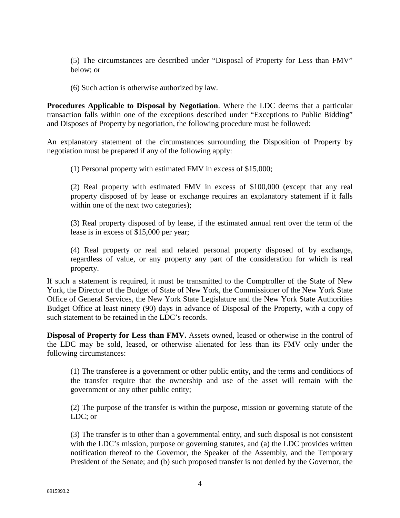(5) The circumstances are described under "Disposal of Property for Less than FMV" below; or

(6) Such action is otherwise authorized by law.

**Procedures Applicable to Disposal by Negotiation**. Where the LDC deems that a particular transaction falls within one of the exceptions described under "Exceptions to Public Bidding" and Disposes of Property by negotiation, the following procedure must be followed:

An explanatory statement of the circumstances surrounding the Disposition of Property by negotiation must be prepared if any of the following apply:

(1) Personal property with estimated FMV in excess of \$15,000;

(2) Real property with estimated FMV in excess of \$100,000 (except that any real property disposed of by lease or exchange requires an explanatory statement if it falls within one of the next two categories);

(3) Real property disposed of by lease, if the estimated annual rent over the term of the lease is in excess of \$15,000 per year;

(4) Real property or real and related personal property disposed of by exchange, regardless of value, or any property any part of the consideration for which is real property.

If such a statement is required, it must be transmitted to the Comptroller of the State of New York, the Director of the Budget of State of New York, the Commissioner of the New York State Office of General Services, the New York State Legislature and the New York State Authorities Budget Office at least ninety (90) days in advance of Disposal of the Property, with a copy of such statement to be retained in the LDC's records.

**Disposal of Property for Less than FMV.** Assets owned, leased or otherwise in the control of the LDC may be sold, leased, or otherwise alienated for less than its FMV only under the following circumstances:

(1) The transferee is a government or other public entity, and the terms and conditions of the transfer require that the ownership and use of the asset will remain with the government or any other public entity;

(2) The purpose of the transfer is within the purpose, mission or governing statute of the LDC; or

(3) The transfer is to other than a governmental entity, and such disposal is not consistent with the LDC's mission, purpose or governing statutes, and (a) the LDC provides written notification thereof to the Governor, the Speaker of the Assembly, and the Temporary President of the Senate; and (b) such proposed transfer is not denied by the Governor, the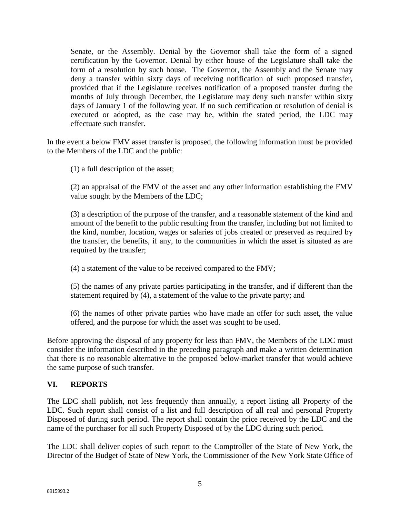Senate, or the Assembly. Denial by the Governor shall take the form of a signed certification by the Governor. Denial by either house of the Legislature shall take the form of a resolution by such house. The Governor, the Assembly and the Senate may deny a transfer within sixty days of receiving notification of such proposed transfer, provided that if the Legislature receives notification of a proposed transfer during the months of July through December, the Legislature may deny such transfer within sixty days of January 1 of the following year. If no such certification or resolution of denial is executed or adopted, as the case may be, within the stated period, the LDC may effectuate such transfer.

In the event a below FMV asset transfer is proposed, the following information must be provided to the Members of the LDC and the public:

(1) a full description of the asset;

(2) an appraisal of the FMV of the asset and any other information establishing the FMV value sought by the Members of the LDC;

(3) a description of the purpose of the transfer, and a reasonable statement of the kind and amount of the benefit to the public resulting from the transfer, including but not limited to the kind, number, location, wages or salaries of jobs created or preserved as required by the transfer, the benefits, if any, to the communities in which the asset is situated as are required by the transfer;

(4) a statement of the value to be received compared to the FMV;

(5) the names of any private parties participating in the transfer, and if different than the statement required by (4), a statement of the value to the private party; and

(6) the names of other private parties who have made an offer for such asset, the value offered, and the purpose for which the asset was sought to be used.

Before approving the disposal of any property for less than FMV, the Members of the LDC must consider the information described in the preceding paragraph and make a written determination that there is no reasonable alternative to the proposed below-market transfer that would achieve the same purpose of such transfer.

# **VI. REPORTS**

The LDC shall publish, not less frequently than annually, a report listing all Property of the LDC. Such report shall consist of a list and full description of all real and personal Property Disposed of during such period. The report shall contain the price received by the LDC and the name of the purchaser for all such Property Disposed of by the LDC during such period.

The LDC shall deliver copies of such report to the Comptroller of the State of New York, the Director of the Budget of State of New York, the Commissioner of the New York State Office of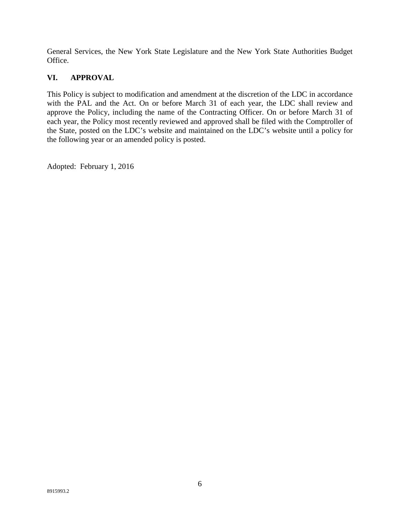General Services, the New York State Legislature and the New York State Authorities Budget Office.

# **VI. APPROVAL**

This Policy is subject to modification and amendment at the discretion of the LDC in accordance with the PAL and the Act. On or before March 31 of each year, the LDC shall review and approve the Policy, including the name of the Contracting Officer. On or before March 31 of each year, the Policy most recently reviewed and approved shall be filed with the Comptroller of the State, posted on the LDC's website and maintained on the LDC's website until a policy for the following year or an amended policy is posted.

Adopted: February 1, 2016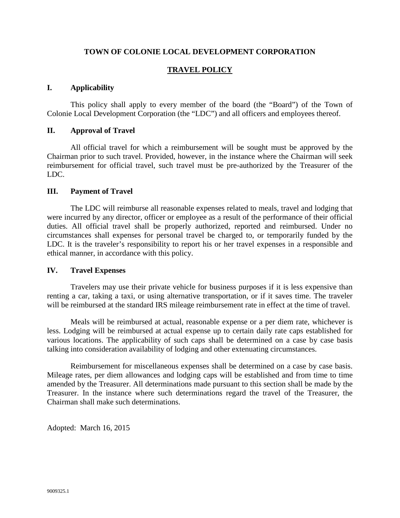## **TRAVEL POLICY**

#### <span id="page-34-0"></span>**I. Applicability**

This policy shall apply to every member of the board (the "Board") of the Town of Colonie Local Development Corporation (the "LDC") and all officers and employees thereof.

#### **II. Approval of Travel**

All official travel for which a reimbursement will be sought must be approved by the Chairman prior to such travel. Provided, however, in the instance where the Chairman will seek reimbursement for official travel, such travel must be pre-authorized by the Treasurer of the LDC.

#### **III. Payment of Travel**

The LDC will reimburse all reasonable expenses related to meals, travel and lodging that were incurred by any director, officer or employee as a result of the performance of their official duties. All official travel shall be properly authorized, reported and reimbursed. Under no circumstances shall expenses for personal travel be charged to, or temporarily funded by the LDC. It is the traveler's responsibility to report his or her travel expenses in a responsible and ethical manner, in accordance with this policy.

#### **IV. Travel Expenses**

Travelers may use their private vehicle for business purposes if it is less expensive than renting a car, taking a taxi, or using alternative transportation, or if it saves time. The traveler will be reimbursed at the standard IRS mileage reimbursement rate in effect at the time of travel.

Meals will be reimbursed at actual, reasonable expense or a per diem rate, whichever is less. Lodging will be reimbursed at actual expense up to certain daily rate caps established for various locations. The applicability of such caps shall be determined on a case by case basis talking into consideration availability of lodging and other extenuating circumstances.

Reimbursement for miscellaneous expenses shall be determined on a case by case basis. Mileage rates, per diem allowances and lodging caps will be established and from time to time amended by the Treasurer. All determinations made pursuant to this section shall be made by the Treasurer. In the instance where such determinations regard the travel of the Treasurer, the Chairman shall make such determinations.